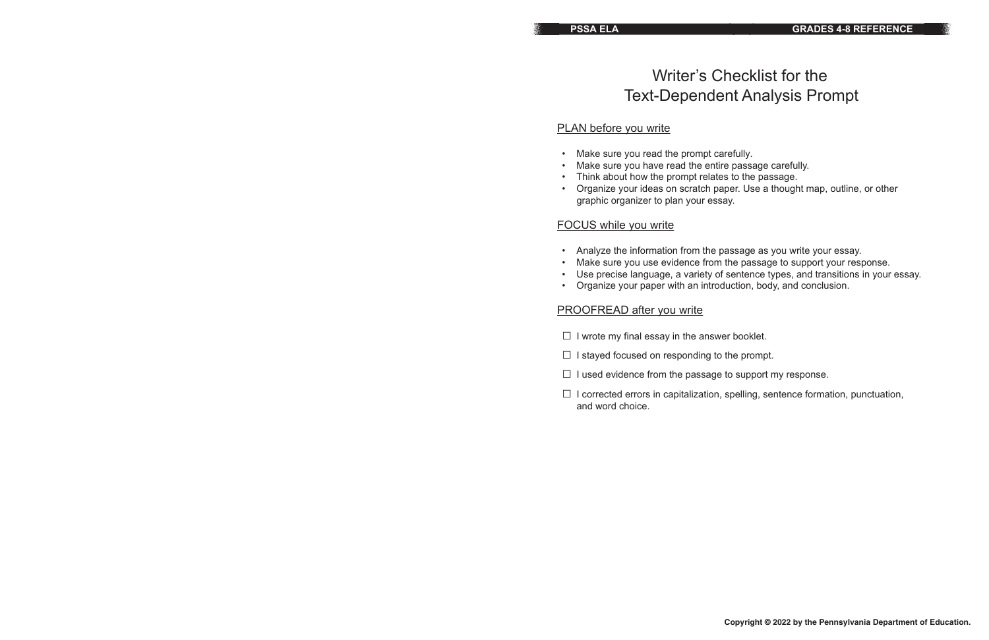# Writer's Checklist for the Text-Dependent Analysis Prompt

# PLAN before you write

- Make sure you read the prompt carefully.
- Make sure you have read the entire passage carefully.
- Think about how the prompt relates to the passage.
- graphic organizer to plan your essay.

• Organize your ideas on scratch paper. Use a thought map, outline, or other

# FOCUS while you write

- $\Box$  I stayed focused on responding to the prompt.
- $\Box$  I used evidence from the passage to support my response.
- and word choice.
- Analyze the information from the passage as you write your essay.
- 
- 
- Organize your paper with an introduction, body, and conclusion.

• Make sure you use evidence from the passage to support your response. • Use precise language, a variety of sentence types, and transitions in your essay.

## PROOFREAD after you write

 $\Box$  I wrote my final essay in the answer booklet.

□ I corrected errors in capitalization, spelling, sentence formation, punctuation,